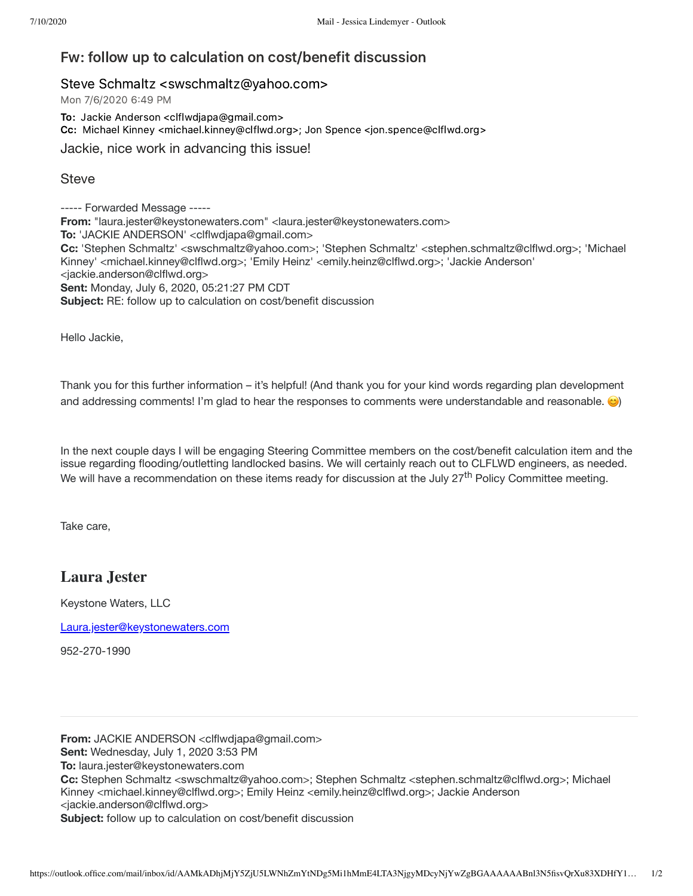## Fw: follow up to calculation on cost/benefit discussion

## Steve Schmaltz <swschmaltz@yahoo.com>

Mon 7/6/2020 6:49 PM

To: Jackie Anderson <clflwdjapa@gmail.com> Cc: Michael Kinney <michael.kinney@clflwd.org>; Jon Spence <jon.spence@clflwd.org>

Jackie, nice work in advancing this issue!

## **Steve**

----- Forwarded Message ----- **From:** "laura.jester@keystonewaters.com" <laura.jester@keystonewaters.com> **To:** 'JACKIE ANDERSON' <clflwdjapa@gmail.com> **Cc:** 'Stephen Schmaltz' <swschmaltz@yahoo.com>; 'Stephen Schmaltz' <stephen.schmaltz@clflwd.org>; 'Michael Kinney' <michael.kinney@clflwd.org>; 'Emily Heinz' <emily.heinz@clflwd.org>; 'Jackie Anderson' <jackie.anderson@clflwd.org> **Sent:** Monday, July 6, 2020, 05:21:27 PM CDT **Subject:** RE: follow up to calculation on cost/benefit discussion

Hello Jackie,

Thank you for this further information – it's helpful! (And thank you for your kind words regarding plan development and addressing comments! I'm glad to hear the responses to comments were understandable and reasonable.  $\bigcirc$ 

In the next couple days I will be engaging Steering Committee members on the cost/benefit calculation item and the issue regarding flooding/outletting landlocked basins. We will certainly reach out to CLFLWD engineers, as needed. We will have a recommendation on these items ready for discussion at the July 27<sup>th</sup> Policy Committee meeting.

Take care,

## **Laura Jester**

Keystone Waters, LLC

[Laura.jester@keystonewaters.com](mailto:Laura.jester@keystonewaters.com)

952-270-1990

**From:** JACKIE ANDERSON <clflwdjapa@gmail.com> **Sent:** Wednesday, July 1, 2020 3:53 PM **To:** laura.jester@keystonewaters.com **Cc:** Stephen Schmaltz <swschmaltz@yahoo.com>; Stephen Schmaltz <stephen.schmaltz@clflwd.org>; Michael Kinney <michael.kinney@clflwd.org>; Emily Heinz <emily.heinz@clflwd.org>; Jackie Anderson <jackie.anderson@clflwd.org> **Subject:** follow up to calculation on cost/benefit discussion